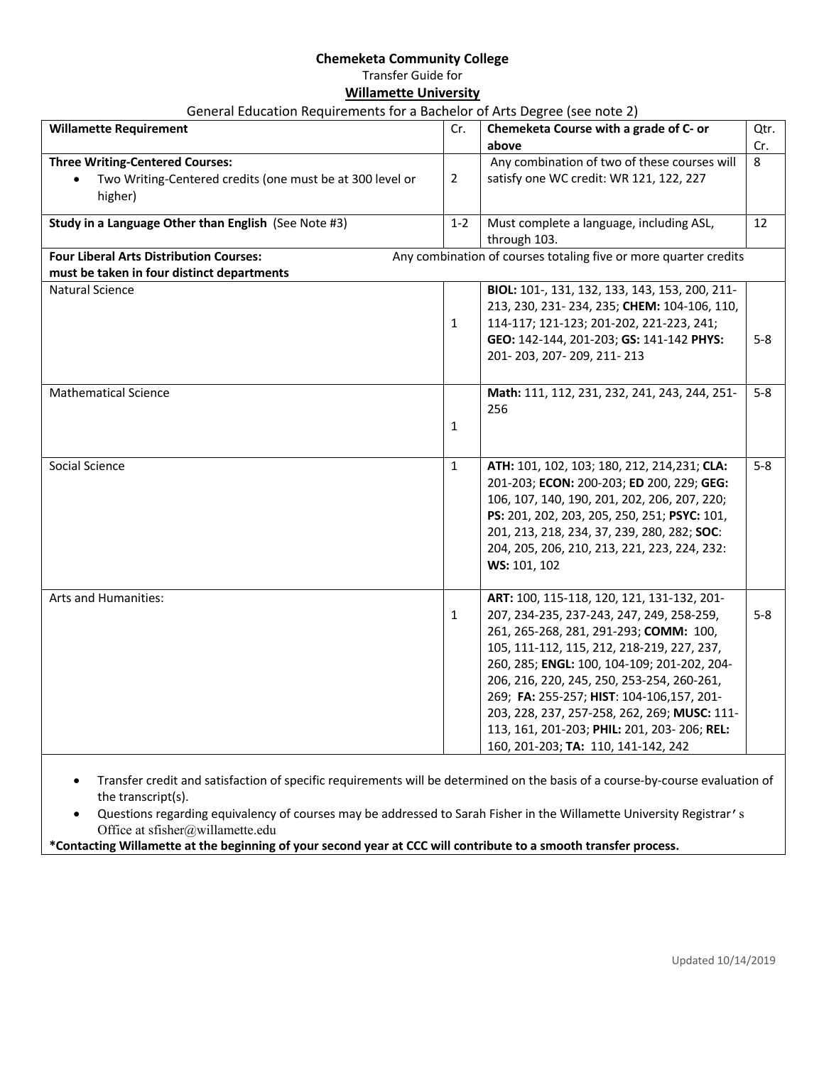## **Chemeketa Community College** Transfer Guide for **Willamette University**

## General Education Requirements for a Bachelor of Arts Degree (see note 2)

| <b>Willamette Requirement</b>                                                                                  | Cr.            | Chemeketa Course with a grade of C- or<br>above                                                                                                                                                                                                                                                                                                                                                                                                                 | Qtr.<br>Cr. |
|----------------------------------------------------------------------------------------------------------------|----------------|-----------------------------------------------------------------------------------------------------------------------------------------------------------------------------------------------------------------------------------------------------------------------------------------------------------------------------------------------------------------------------------------------------------------------------------------------------------------|-------------|
| <b>Three Writing-Centered Courses:</b><br>Two Writing-Centered credits (one must be at 300 level or<br>higher) | $\overline{2}$ | Any combination of two of these courses will<br>satisfy one WC credit: WR 121, 122, 227                                                                                                                                                                                                                                                                                                                                                                         | 8           |
| Study in a Language Other than English (See Note #3)                                                           | $1 - 2$        | Must complete a language, including ASL,<br>through 103.                                                                                                                                                                                                                                                                                                                                                                                                        | 12          |
| <b>Four Liberal Arts Distribution Courses:</b><br>must be taken in four distinct departments                   |                | Any combination of courses totaling five or more quarter credits                                                                                                                                                                                                                                                                                                                                                                                                |             |
| <b>Natural Science</b>                                                                                         | $\mathbf{1}$   | BIOL: 101-, 131, 132, 133, 143, 153, 200, 211-<br>213, 230, 231-234, 235; CHEM: 104-106, 110,<br>114-117; 121-123; 201-202, 221-223, 241;<br>GEO: 142-144, 201-203; GS: 141-142 PHYS:<br>201-203, 207-209, 211-213                                                                                                                                                                                                                                              | $5-8$       |
| <b>Mathematical Science</b>                                                                                    | $\mathbf{1}$   | Math: 111, 112, 231, 232, 241, 243, 244, 251-<br>256                                                                                                                                                                                                                                                                                                                                                                                                            | $5-8$       |
| Social Science                                                                                                 | $\mathbf{1}$   | ATH: 101, 102, 103; 180, 212, 214, 231; CLA:<br>201-203; ECON: 200-203; ED 200, 229; GEG:<br>106, 107, 140, 190, 201, 202, 206, 207, 220;<br>PS: 201, 202, 203, 205, 250, 251; PSYC: 101,<br>201, 213, 218, 234, 37, 239, 280, 282; SOC:<br>204, 205, 206, 210, 213, 221, 223, 224, 232:<br>WS: 101, 102                                                                                                                                                        | $5-8$       |
| Arts and Humanities:                                                                                           | $\mathbf{1}$   | ART: 100, 115-118, 120, 121, 131-132, 201-<br>207, 234-235, 237-243, 247, 249, 258-259,<br>261, 265-268, 281, 291-293; COMM: 100,<br>105, 111-112, 115, 212, 218-219, 227, 237,<br>260, 285; ENGL: 100, 104-109; 201-202, 204-<br>206, 216, 220, 245, 250, 253-254, 260-261,<br>269; FA: 255-257; HIST: 104-106,157, 201-<br>203, 228, 237, 257-258, 262, 269; MUSC: 111-<br>113, 161, 201-203; PHIL: 201, 203-206; REL:<br>160, 201-203; TA: 110, 141-142, 242 | $5-8$       |

the transcript(s). • Questions regarding equivalency of courses may be addressed to Sarah Fisher in the Willamette University Registrar's

Office at sfisher@willamette.edu

**\*Contacting Willamette at the beginning of your second year at CCC will contribute to a smooth transfer process.**